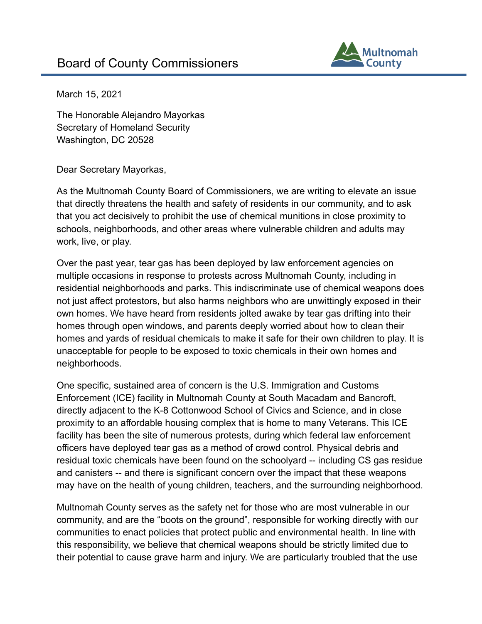

March 15, 2021

The Honorable Alejandro Mayorkas Secretary of Homeland Security Washington, DC 20528

Dear Secretary Mayorkas,

As the Multnomah County Board of Commissioners, we are writing to elevate an issue that directly threatens the health and safety of residents in our community, and to ask that you act decisively to prohibit the use of chemical munitions in close proximity to schools, neighborhoods, and other areas where vulnerable children and adults may work, live, or play.

Over the past year, tear gas has been deployed by law enforcement agencies on multiple occasions in response to protests across Multnomah County, including in residential neighborhoods and parks. This indiscriminate use of chemical weapons does not just affect protestors, but also harms neighbors who are unwittingly exposed in their own homes. We have heard from residents jolted awake by tear gas drifting into their homes through open windows, and parents deeply worried about how to clean their homes and yards of residual chemicals to make it safe for their own children to play. It is unacceptable for people to be exposed to toxic chemicals in their own homes and neighborhoods.

One specific, sustained area of concern is the U.S. Immigration and Customs Enforcement (ICE) facility in Multnomah County at South Macadam and Bancroft, directly adjacent to the K-8 Cottonwood School of Civics and Science, and in close proximity to an affordable housing complex that is home to many Veterans. This ICE facility has been the site of numerous protests, during which federal law enforcement officers have deployed tear gas as a method of crowd control. Physical debris and residual toxic chemicals have been found on the schoolyard -- including CS gas residue and canisters -- and there is significant concern over the impact that these weapons may have on the health of young children, teachers, and the surrounding neighborhood.

Multnomah County serves as the safety net for those who are most vulnerable in our community, and are the "boots on the ground", responsible for working directly with our communities to enact policies that protect public and environmental health. In line with this responsibility, we believe that chemical weapons should be strictly limited due to their potential to cause grave harm and injury. We are particularly troubled that the use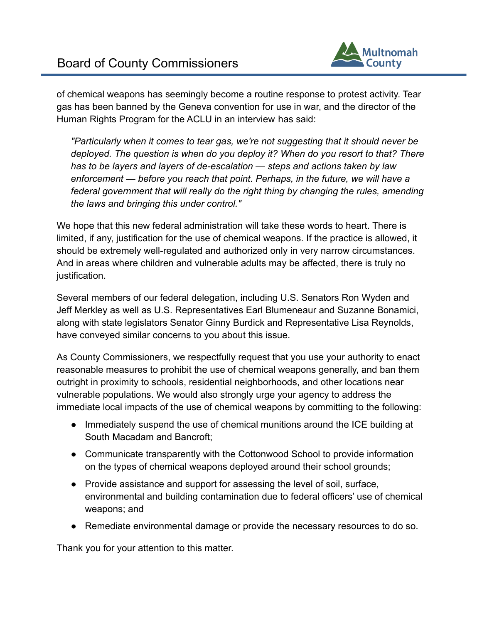

of chemical weapons has seemingly become a routine response to protest activity. Tear gas has been banned by the Geneva convention for use in war, and the director of the Human Rights Program for the ACLU in an interview has said:

*"Particularly when it comes to tear gas, we're not suggesting that it should never be deployed. The question is when do you deploy it? When do you resort to that? There has to be layers and layers of de-escalation — steps and actions taken by law enforcement — before you reach that point. Perhaps, in the future, we will have a federal government that will really do the right thing by changing the rules, amending the laws and bringing this under control."*

We hope that this new federal administration will take these words to heart. There is limited, if any, justification for the use of chemical weapons. If the practice is allowed, it should be extremely well-regulated and authorized only in very narrow circumstances. And in areas where children and vulnerable adults may be affected, there is truly no justification.

Several members of our federal delegation, including U.S. Senators Ron Wyden and Jeff Merkley as well as U.S. Representatives Earl Blumeneaur and Suzanne Bonamici, along with state legislators Senator Ginny Burdick and Representative Lisa Reynolds, have conveyed similar concerns to you about this issue.

As County Commissioners, we respectfully request that you use your authority to enact reasonable measures to prohibit the use of chemical weapons generally, and ban them outright in proximity to schools, residential neighborhoods, and other locations near vulnerable populations. We would also strongly urge your agency to address the immediate local impacts of the use of chemical weapons by committing to the following:

- Immediately suspend the use of chemical munitions around the ICE building at South Macadam and Bancroft;
- Communicate transparently with the Cottonwood School to provide information on the types of chemical weapons deployed around their school grounds;
- Provide assistance and support for assessing the level of soil, surface, environmental and building contamination due to federal officers' use of chemical weapons; and
- Remediate environmental damage or provide the necessary resources to do so.

Thank you for your attention to this matter.